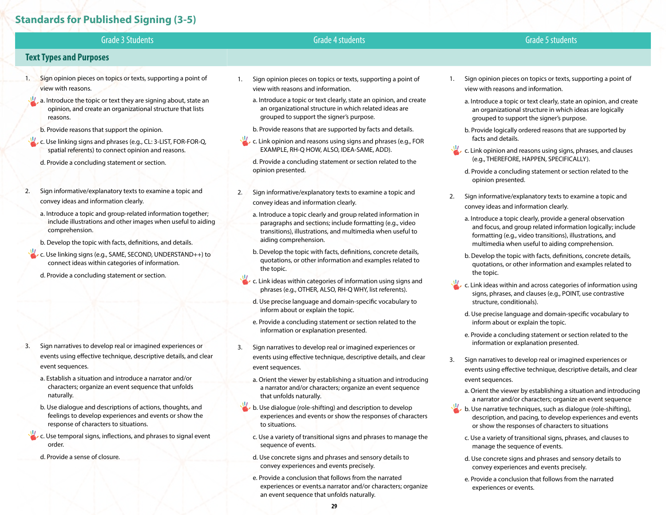# **Standards for Published Signing (3-5)**

| <b>Grade 3 Students</b>                                                                                                                                                                                      | <b>Grade 4 students</b>                                                                                                                                                                                                                                                     | <b>Grade 5 students</b>                                                                                                                                                                      |
|--------------------------------------------------------------------------------------------------------------------------------------------------------------------------------------------------------------|-----------------------------------------------------------------------------------------------------------------------------------------------------------------------------------------------------------------------------------------------------------------------------|----------------------------------------------------------------------------------------------------------------------------------------------------------------------------------------------|
| <b>Text Types and Purposes</b>                                                                                                                                                                               |                                                                                                                                                                                                                                                                             |                                                                                                                                                                                              |
| Sign opinion pieces on topics or texts, supporting a point of<br>1.<br>view with reasons.                                                                                                                    | Sign opinion pieces on topics or texts, supporting a point of<br>1.<br>view with reasons and information.                                                                                                                                                                   | Sign opinion pieces on topics or texts, supporting a point of<br>1.<br>view with reasons and information.                                                                                    |
| a. Introduce the topic or text they are signing about, state an<br>opinion, and create an organizational structure that lists<br>reasons.                                                                    | a. Introduce a topic or text clearly, state an opinion, and create<br>an organizational structure in which related ideas are<br>grouped to support the signer's purpose.                                                                                                    | a. Introduce a topic or text clearly, state an opinion, and create<br>an organizational structure in which ideas are logically<br>grouped to support the signer's purpose.                   |
| b. Provide reasons that support the opinion.                                                                                                                                                                 | b. Provide reasons that are supported by facts and details.                                                                                                                                                                                                                 | b. Provide logically ordered reasons that are supported by                                                                                                                                   |
| c. Use linking signs and phrases (e.g., CL: 3-LIST, FOR-FOR-Q,                                                                                                                                               | c. Link opinion and reasons using signs and phrases (e.g., FOR                                                                                                                                                                                                              | facts and details.                                                                                                                                                                           |
| spatial referents) to connect opinion and reasons.<br>d. Provide a concluding statement or section.                                                                                                          | EXAMPLE, RH-Q HOW, ALSO, IDEA-SAME, ADD).<br>d. Provide a concluding statement or section related to the<br>opinion presented.                                                                                                                                              | c. Link opinion and reasons using signs, phrases, and clauses<br>(e.g., THEREFORE, HAPPEN, SPECIFICALLY).                                                                                    |
|                                                                                                                                                                                                              |                                                                                                                                                                                                                                                                             | d. Provide a concluding statement or section related to the<br>opinion presented.                                                                                                            |
| Sign informative/explanatory texts to examine a topic and<br>2.<br>convey ideas and information clearly.                                                                                                     | Sign informative/explanatory texts to examine a topic and<br>2.<br>convey ideas and information clearly.                                                                                                                                                                    | Sign informative/explanatory texts to examine a topic and<br>2.<br>convey ideas and information clearly.                                                                                     |
| a. Introduce a topic and group-related information together;<br>include illustrations and other images when useful to aiding<br>comprehension.<br>b. Develop the topic with facts, definitions, and details. | a. Introduce a topic clearly and group related information in<br>paragraphs and sections; include formatting (e.g., video<br>transitions), illustrations, and multimedia when useful to<br>aiding comprehension.                                                            | a. Introduce a topic clearly, provide a general observation<br>and focus, and group related information logically; include<br>formatting (e.g., video transitions), illustrations, and       |
| c. Use linking signs (e.g., SAME, SECOND, UNDERSTAND++) to<br>connect ideas within categories of information.<br>d. Provide a concluding statement or section.                                               | b. Develop the topic with facts, definitions, concrete details,<br>quotations, or other information and examples related to<br>the topic.                                                                                                                                   | multimedia when useful to aiding comprehension.<br>b. Develop the topic with facts, definitions, concrete details,<br>quotations, or other information and examples related to<br>the topic. |
|                                                                                                                                                                                                              | c. Link ideas within categories of information using signs and<br>phrases (e.g., OTHER, ALSO, RH-Q WHY, list referents).                                                                                                                                                    | c. Link ideas within and across categories of information using<br>signs, phrases, and clauses (e.g., POINT, use contrastive                                                                 |
|                                                                                                                                                                                                              | d. Use precise language and domain-specific vocabulary to<br>inform about or explain the topic.<br>e. Provide a concluding statement or section related to the<br>information or explanation presented.<br>Sign narratives to develop real or imagined experiences or<br>3. | structure, conditionals).                                                                                                                                                                    |
|                                                                                                                                                                                                              |                                                                                                                                                                                                                                                                             | d. Use precise language and domain-specific vocabulary to<br>inform about or explain the topic.                                                                                              |
|                                                                                                                                                                                                              |                                                                                                                                                                                                                                                                             | e. Provide a concluding statement or section related to the<br>information or explanation presented.                                                                                         |
| Sign narratives to develop real or imagined experiences or<br>3.                                                                                                                                             |                                                                                                                                                                                                                                                                             |                                                                                                                                                                                              |
| events using effective technique, descriptive details, and clear<br>event sequences.                                                                                                                         | events using effective technique, descriptive details, and clear<br>event sequences.                                                                                                                                                                                        | Sign narratives to develop real or imagined experiences or<br>3.<br>events using effective technique, descriptive details, and clear                                                         |

- a. Establish a situation and introduce a narrator and/or characters; organize an event sequence that unfolds naturally.
- b. Use dialogue and descriptions of actions, thoughts, and feelings to develop experiences and events or show the response of characters to situations.
- c. Use temporal signs, inflections, and phrases to signal event order.
	- d. Provide a sense of closure.
- a. Orient the viewer by establishing a situation and introducing a narrator and/or characters; organize an event sequence that unfolds naturally.
- b. Use dialogue (role-shifting) and description to develop experiences and events or show the responses of characters to situations.
	- c. Use a variety of transitional signs and phrases to manage the sequence of events.
	- d. Use concrete signs and phrases and sensory details to convey experiences and events precisely.
	- e. Provide a conclusion that follows from the narrated experiences or events.a narrator and/or characters; organize an event sequence that unfolds naturally.
- events using effective technique, descriptive details, and clear event sequences.
	- a. Orient the viewer by establishing a situation and introducing a narrator and/or characters; organize an event sequence
- b. Use narrative techniques, such as dialogue (role-shifting), description, and pacing, to develop experiences and events or show the responses of characters to situations
	- c. Use a variety of transitional signs, phrases, and clauses to manage the sequence of events.
	- d. Use concrete signs and phrases and sensory details to convey experiences and events precisely.
	- e. Provide a conclusion that follows from the narrated experiences or events.